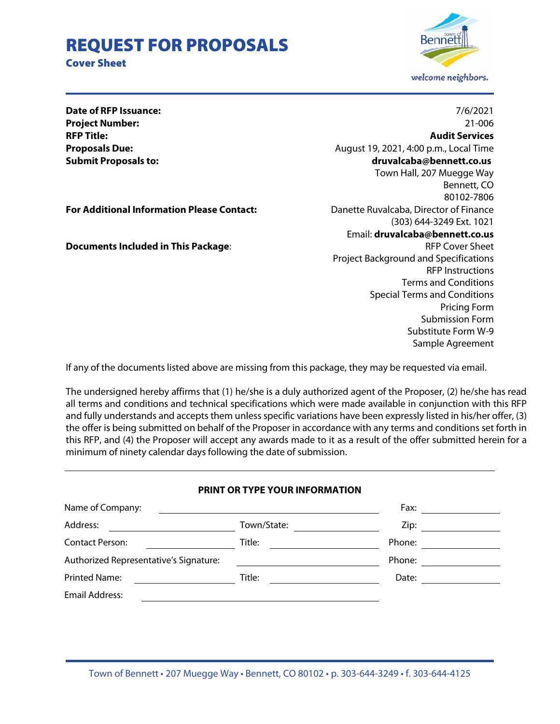# REQUEST FOR PROPOSALS

Cover Sheet



Substitute Form W-9 Sample Agreement

**For Additional Information Please Contact:** Danette Ruvalcaba, Director of Finance

**Documents Included in This Package:**  $\blacksquare$  RFP Cover Sheet

**Date of RFP Issuance:** 7/6/2021 **Project Number:** 21-006 **RFP Title: Audit Services Proposals Due:** August 19, 2021, 4:00 p.m., Local Time **Submit Proposals to: druvalcaba@bennett.co.us**  Town Hall, 207 Muegge Way Bennett, CO 80102-7806 (303) 644-3249 Ext. 1021 Email: **druvalcaba@bennett.co.us** Project Background and Specifications RFP Instructions Terms and Conditions Special Terms and Conditions Pricing Form Submission Form

If any of the documents listed above are missing from this package, they may be requested via email.

The undersigned hereby affirms that (1) he/she is a duly authorized agent of the Proposer, (2) he/she has read all terms and conditions and technical specifications which were made available in conjunction with this RFP and fully understands and accepts them unless specific variations have been expressly listed in his/her offer, (3) the offer is being submitted on behalf of the Proposer in accordance with any terms and conditions set forth in this RFP, and (4) the Proposer will accept any awards made to it as a result of the offer submitted herein for a minimum of ninety calendar days following the date of submission.

#### **PRINT OR TYPE YOUR INFORMATION**

| Name of Company:                       |             | Fax:   |
|----------------------------------------|-------------|--------|
| Address:                               | Town/State: | Zip:   |
| <b>Contact Person:</b>                 | Title:      | Phone: |
| Authorized Representative's Signature: |             | Phone: |
| <b>Printed Name:</b>                   | Title:      | Date:  |
| <b>Email Address:</b>                  |             |        |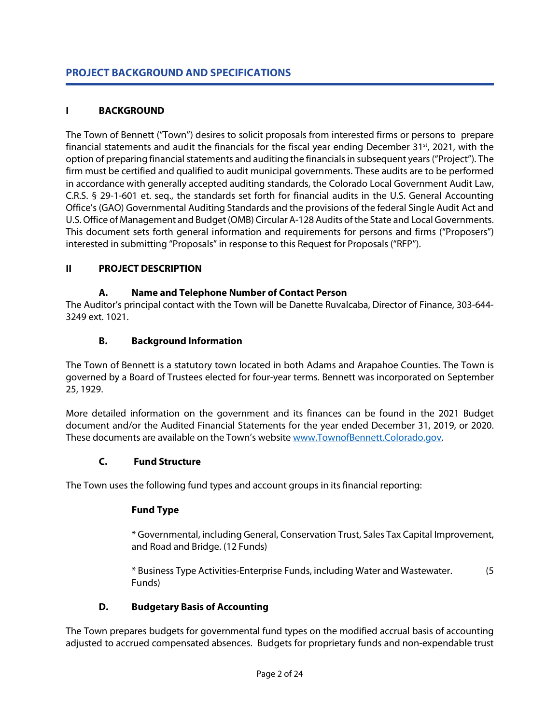# **PROJECT BACKGROUND AND SPECIFICATIONS**

# **I BACKGROUND**

The Town of Bennett ("Town") desires to solicit proposals from interested firms or persons to prepare financial statements and audit the financials for the fiscal year ending December 31 $st$ , 2021, with the option of preparing financial statements and auditing the financials in subsequent years("Project"). The firm must be certified and qualified to audit municipal governments. These audits are to be performed in accordance with generally accepted auditing standards, the Colorado Local Government Audit Law, C.R.S. § 29-1-601 et. seq., the standards set forth for financial audits in the U.S. General Accounting Office's (GAO) Governmental Auditing Standards and the provisions of the federal Single Audit Act and U.S. Office of Management and Budget (OMB) Circular A-128 Audits of the State and Local Governments. This document sets forth general information and requirements for persons and firms ("Proposers") interested in submitting "Proposals" in response to this Request for Proposals ("RFP").

# **II PROJECT DESCRIPTION**

### **A. Name and Telephone Number of Contact Person**

The Auditor's principal contact with the Town will be Danette Ruvalcaba, Director of Finance, 303-644- 3249 ext. 1021.

### **B. Background Information**

The Town of Bennett is a statutory town located in both Adams and Arapahoe Counties. The Town is governed by a Board of Trustees elected for four-year terms. Bennett was incorporated on September 25, 1929.

More detailed information on the government and its finances can be found in the 2021 Budget document and/or the Audited Financial Statements for the year ended December 31, 2019, or 2020. These documents are available on the Town's websit[e www.TownofBennett.Colorado.gov.](https://townofbennett.colorado.gov/)

#### **C. Fund Structure**

The Town uses the following fund types and account groups in its financial reporting:

# **Fund Type**

\* Governmental, including General, Conservation Trust, Sales Tax Capital Improvement, and Road and Bridge. (12 Funds)

\* Business Type Activities-Enterprise Funds, including Water and Wastewater. (5 Funds)

# **D. Budgetary Basis of Accounting**

The Town prepares budgets for governmental fund types on the modified accrual basis of accounting adjusted to accrued compensated absences. Budgets for proprietary funds and non-expendable trust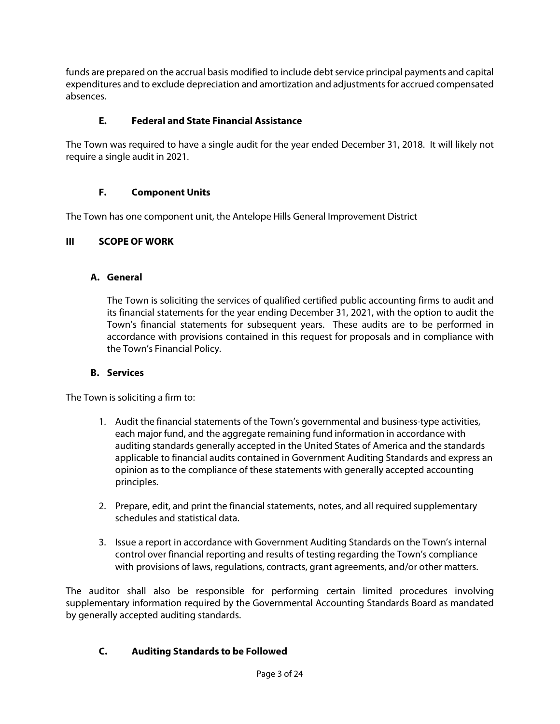funds are prepared on the accrual basis modified to include debt service principal payments and capital expenditures and to exclude depreciation and amortization and adjustments for accrued compensated absences.

# **E. Federal and State Financial Assistance**

The Town was required to have a single audit for the year ended December 31, 2018. It will likely not require a single audit in 2021.

# **F. Component Units**

The Town has one component unit, the Antelope Hills General Improvement District

# **III SCOPE OF WORK**

# **A. General**

The Town is soliciting the services of qualified certified public accounting firms to audit and its financial statements for the year ending December 31, 2021, with the option to audit the Town's financial statements for subsequent years. These audits are to be performed in accordance with provisions contained in this request for proposals and in compliance with the Town's Financial Policy.

# **B. Services**

The Town is soliciting a firm to:

- 1. Audit the financial statements of the Town's governmental and business-type activities, each major fund, and the aggregate remaining fund information in accordance with auditing standards generally accepted in the United States of America and the standards applicable to financial audits contained in Government Auditing Standards and express an opinion as to the compliance of these statements with generally accepted accounting principles.
- 2. Prepare, edit, and print the financial statements, notes, and all required supplementary schedules and statistical data.
- 3. Issue a report in accordance with Government Auditing Standards on the Town's internal control over financial reporting and results of testing regarding the Town's compliance with provisions of laws, regulations, contracts, grant agreements, and/or other matters.

The auditor shall also be responsible for performing certain limited procedures involving supplementary information required by the Governmental Accounting Standards Board as mandated by generally accepted auditing standards.

# **C. Auditing Standards to be Followed**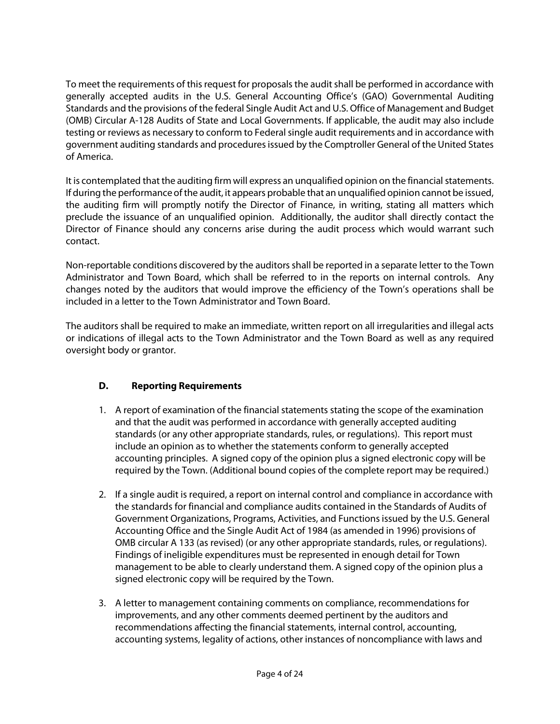To meet the requirements of this request for proposals the audit shall be performed in accordance with generally accepted audits in the U.S. General Accounting Office's (GAO) Governmental Auditing Standards and the provisions of the federal Single Audit Act and U.S. Office of Management and Budget (OMB) Circular A-128 Audits of State and Local Governments. If applicable, the audit may also include testing or reviews as necessary to conform to Federal single audit requirements and in accordance with government auditing standards and procedures issued by the Comptroller General of the United States of America.

It is contemplated that the auditing firm will express an unqualified opinion on the financial statements. If during the performance of the audit, it appears probable that an unqualified opinion cannot be issued, the auditing firm will promptly notify the Director of Finance, in writing, stating all matters which preclude the issuance of an unqualified opinion. Additionally, the auditor shall directly contact the Director of Finance should any concerns arise during the audit process which would warrant such contact.

Non-reportable conditions discovered by the auditors shall be reported in a separate letter to the Town Administrator and Town Board, which shall be referred to in the reports on internal controls. Any changes noted by the auditors that would improve the efficiency of the Town's operations shall be included in a letter to the Town Administrator and Town Board.

The auditors shall be required to make an immediate, written report on all irregularities and illegal acts or indications of illegal acts to the Town Administrator and the Town Board as well as any required oversight body or grantor.

# **D. Reporting Requirements**

- 1. A report of examination of the financial statements stating the scope of the examination and that the audit was performed in accordance with generally accepted auditing standards (or any other appropriate standards, rules, or regulations). This report must include an opinion as to whether the statements conform to generally accepted accounting principles. A signed copy of the opinion plus a signed electronic copy will be required by the Town. (Additional bound copies of the complete report may be required.)
- 2. If a single audit is required, a report on internal control and compliance in accordance with the standards for financial and compliance audits contained in the Standards of Audits of Government Organizations, Programs, Activities, and Functions issued by the U.S. General Accounting Office and the Single Audit Act of 1984 (as amended in 1996) provisions of OMB circular A 133 (as revised) (or any other appropriate standards, rules, or regulations). Findings of ineligible expenditures must be represented in enough detail for Town management to be able to clearly understand them. A signed copy of the opinion plus a signed electronic copy will be required by the Town.
- 3. A letter to management containing comments on compliance, recommendations for improvements, and any other comments deemed pertinent by the auditors and recommendations affecting the financial statements, internal control, accounting, accounting systems, legality of actions, other instances of noncompliance with laws and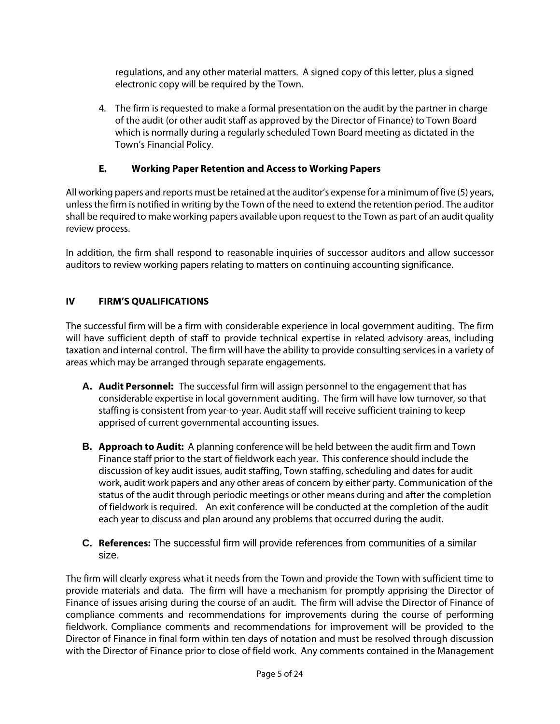regulations, and any other material matters. A signed copy of this letter, plus a signed electronic copy will be required by the Town.

4. The firm is requested to make a formal presentation on the audit by the partner in charge of the audit (or other audit staff as approved by the Director of Finance) to Town Board which is normally during a regularly scheduled Town Board meeting as dictated in the Town's Financial Policy.

# **E. Working Paper Retention and Access to Working Papers**

All working papers and reports must be retained at the auditor's expense for a minimum of five (5) years, unless the firm is notified in writing by the Town of the need to extend the retention period. The auditor shall be required to make working papers available upon request to the Town as part of an audit quality review process.

In addition, the firm shall respond to reasonable inquiries of successor auditors and allow successor auditors to review working papers relating to matters on continuing accounting significance.

# **IV FIRM'S QUALIFICATIONS**

The successful firm will be a firm with considerable experience in local government auditing. The firm will have sufficient depth of staff to provide technical expertise in related advisory areas, including taxation and internal control. The firm will have the ability to provide consulting services in a variety of areas which may be arranged through separate engagements.

- **A. Audit Personnel:** The successful firm will assign personnel to the engagement that has considerable expertise in local government auditing. The firm will have low turnover, so that staffing is consistent from year-to-year. Audit staff will receive sufficient training to keep apprised of current governmental accounting issues.
- **B. Approach to Audit:** A planning conference will be held between the audit firm and Town Finance staff prior to the start of fieldwork each year. This conference should include the discussion of key audit issues, audit staffing, Town staffing, scheduling and dates for audit work, audit work papers and any other areas of concern by either party. Communication of the status of the audit through periodic meetings or other means during and after the completion of fieldwork is required. An exit conference will be conducted at the completion of the audit each year to discuss and plan around any problems that occurred during the audit.
- **C. References:** The successful firm will provide references from communities of a similar size.

The firm will clearly express what it needs from the Town and provide the Town with sufficient time to provide materials and data. The firm will have a mechanism for promptly apprising the Director of Finance of issues arising during the course of an audit. The firm will advise the Director of Finance of compliance comments and recommendations for improvements during the course of performing fieldwork. Compliance comments and recommendations for improvement will be provided to the Director of Finance in final form within ten days of notation and must be resolved through discussion with the Director of Finance prior to close of field work. Any comments contained in the Management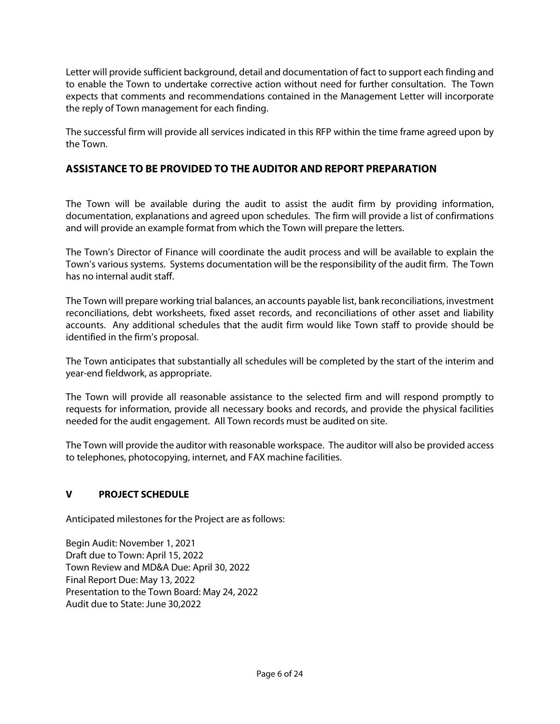Letter will provide sufficient background, detail and documentation of fact to support each finding and to enable the Town to undertake corrective action without need for further consultation. The Town expects that comments and recommendations contained in the Management Letter will incorporate the reply of Town management for each finding.

The successful firm will provide all services indicated in this RFP within the time frame agreed upon by the Town.

# **ASSISTANCE TO BE PROVIDED TO THE AUDITOR AND REPORT PREPARATION**

The Town will be available during the audit to assist the audit firm by providing information, documentation, explanations and agreed upon schedules. The firm will provide a list of confirmations and will provide an example format from which the Town will prepare the letters.

The Town's Director of Finance will coordinate the audit process and will be available to explain the Town's various systems. Systems documentation will be the responsibility of the audit firm. The Town has no internal audit staff.

The Town will prepare working trial balances, an accounts payable list, bank reconciliations, investment reconciliations, debt worksheets, fixed asset records, and reconciliations of other asset and liability accounts. Any additional schedules that the audit firm would like Town staff to provide should be identified in the firm's proposal.

The Town anticipates that substantially all schedules will be completed by the start of the interim and year-end fieldwork, as appropriate.

The Town will provide all reasonable assistance to the selected firm and will respond promptly to requests for information, provide all necessary books and records, and provide the physical facilities needed for the audit engagement. All Town records must be audited on site.

The Town will provide the auditor with reasonable workspace. The auditor will also be provided access to telephones, photocopying, internet, and FAX machine facilities.

# **V PROJECT SCHEDULE**

Anticipated milestones for the Project are as follows:

Begin Audit: November 1, 2021 Draft due to Town: April 15, 2022 Town Review and MD&A Due: April 30, 2022 Final Report Due: May 13, 2022 Presentation to the Town Board: May 24, 2022 Audit due to State: June 30,2022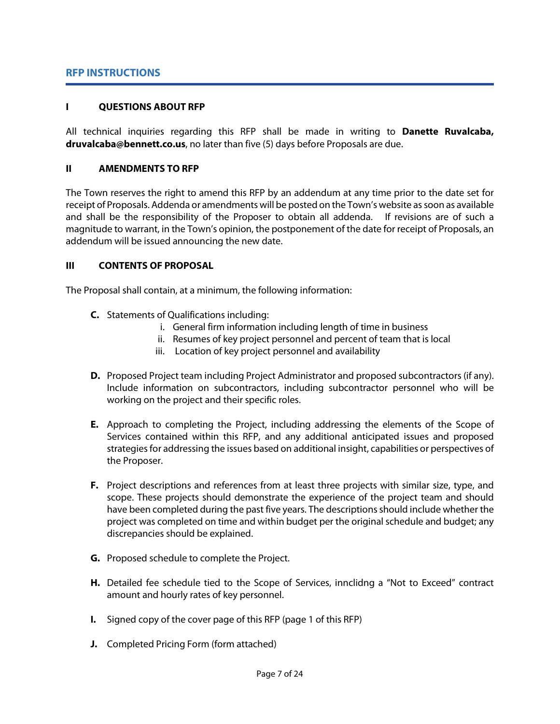### **RFP INSTRUCTIONS**

#### **I QUESTIONS ABOUT RFP**

All technical inquiries regarding this RFP shall be made in writing to **Danette Ruvalcaba, druvalcaba@bennett.co.us**, no later than five (5) days before Proposals are due.

#### **II AMENDMENTS TO RFP**

The Town reserves the right to amend this RFP by an addendum at any time prior to the date set for receipt of Proposals. Addenda or amendments will be posted on the Town's website as soon as available and shall be the responsibility of the Proposer to obtain all addenda. If revisions are of such a magnitude to warrant, in the Town's opinion, the postponement of the date for receipt of Proposals, an addendum will be issued announcing the new date.

### **III CONTENTS OF PROPOSAL**

The Proposal shall contain, at a minimum, the following information:

- **C.** Statements of Qualifications including:
	- i. General firm information including length of time in business
	- ii. Resumes of key project personnel and percent of team that is local
	- iii. Location of key project personnel and availability
- **D.** Proposed Project team including Project Administrator and proposed subcontractors (if any). Include information on subcontractors, including subcontractor personnel who will be working on the project and their specific roles.
- **E.** Approach to completing the Project, including addressing the elements of the Scope of Services contained within this RFP, and any additional anticipated issues and proposed strategies for addressing the issues based on additional insight, capabilities or perspectives of the Proposer.
- **F.** Project descriptions and references from at least three projects with similar size, type, and scope. These projects should demonstrate the experience of the project team and should have been completed during the past five years. The descriptions should include whether the project was completed on time and within budget per the original schedule and budget; any discrepancies should be explained.
- **G.** Proposed schedule to complete the Project.
- **H.** Detailed fee schedule tied to the Scope of Services, innclidng a "Not to Exceed" contract amount and hourly rates of key personnel.
- **I.** Signed copy of the cover page of this RFP (page 1 of this RFP)
- **J.** Completed Pricing Form (form attached)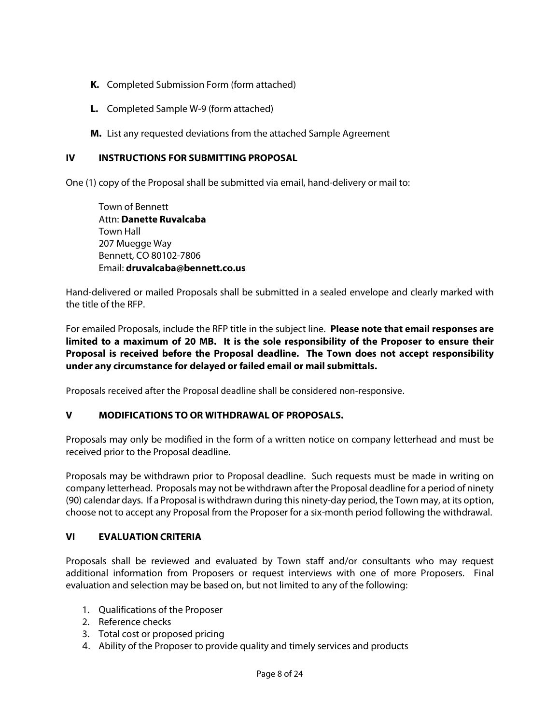- **K.** Completed Submission Form (form attached)
- **L.** Completed Sample W-9 (form attached)
- **M.** List any requested deviations from the attached Sample Agreement

# **IV INSTRUCTIONS FOR SUBMITTING PROPOSAL**

One (1) copy of the Proposal shall be submitted via email, hand-delivery or mail to:

Town of Bennett Attn: **Danette Ruvalcaba** Town Hall 207 Muegge Way Bennett, CO 80102-7806 Email: **druvalcaba@bennett.co.us**

Hand-delivered or mailed Proposals shall be submitted in a sealed envelope and clearly marked with the title of the RFP.

For emailed Proposals, include the RFP title in the subject line. **Please note that email responses are limited to a maximum of 20 MB. It is the sole responsibility of the Proposer to ensure their Proposal is received before the Proposal deadline. The Town does not accept responsibility under any circumstance for delayed or failed email or mail submittals.**

Proposals received after the Proposal deadline shall be considered non-responsive.

#### **V MODIFICATIONS TO OR WITHDRAWAL OF PROPOSALS.**

Proposals may only be modified in the form of a written notice on company letterhead and must be received prior to the Proposal deadline.

Proposals may be withdrawn prior to Proposal deadline. Such requests must be made in writing on company letterhead. Proposals may not be withdrawn after the Proposal deadline for a period of ninety (90) calendar days. If a Proposal is withdrawn during this ninety-day period, the Town may, at its option, choose not to accept any Proposal from the Proposer for a six-month period following the withdrawal.

#### **VI EVALUATION CRITERIA**

Proposals shall be reviewed and evaluated by Town staff and/or consultants who may request additional information from Proposers or request interviews with one of more Proposers. Final evaluation and selection may be based on, but not limited to any of the following:

- 1. Qualifications of the Proposer
- 2. Reference checks
- 3. Total cost or proposed pricing
- 4. Ability of the Proposer to provide quality and timely services and products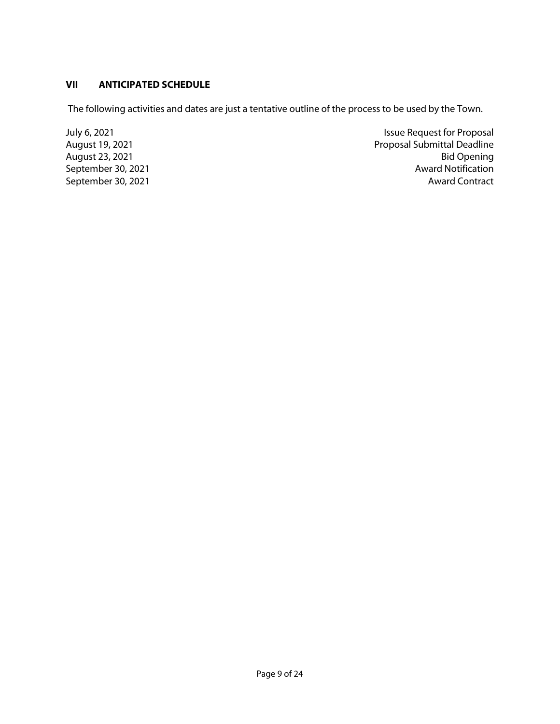# **VII ANTICIPATED SCHEDULE**

The following activities and dates are just a tentative outline of the process to be used by the Town.

September 30, 2021

dily 6, 2021<br>
August 19, 2021<br>
August 19, 2021<br>
Proposal Submittal Deadline Proposal Submittal Deadline<br>Bid Opening August 23, 2021 Bid Opening<br>September 30, 2021 Bid Opening<br>Award Notification September 30, 2021 **Award Contract Award Contract**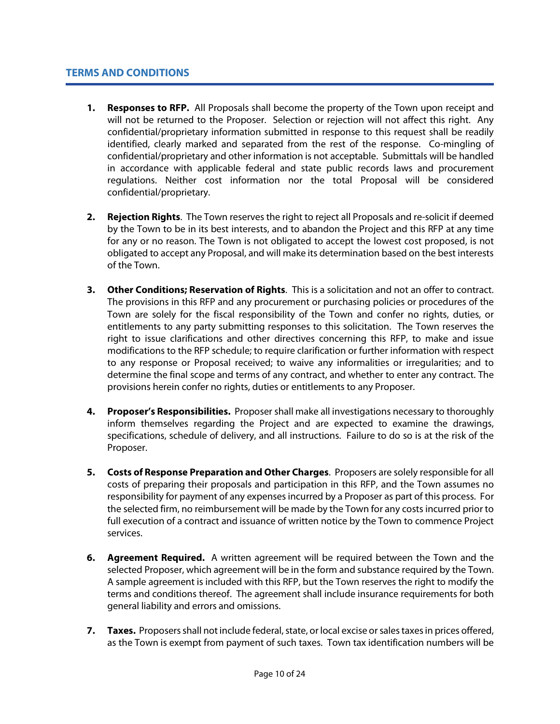- **1. Responses to RFP.** All Proposals shall become the property of the Town upon receipt and will not be returned to the Proposer. Selection or rejection will not affect this right. Any confidential/proprietary information submitted in response to this request shall be readily identified, clearly marked and separated from the rest of the response. Co-mingling of confidential/proprietary and other information is not acceptable. Submittals will be handled in accordance with applicable federal and state public records laws and procurement regulations. Neither cost information nor the total Proposal will be considered confidential/proprietary.
- **2. Rejection Rights**. The Town reserves the right to reject all Proposals and re-solicit if deemed by the Town to be in its best interests, and to abandon the Project and this RFP at any time for any or no reason. The Town is not obligated to accept the lowest cost proposed, is not obligated to accept any Proposal, and will make its determination based on the best interests of the Town.
- **3. Other Conditions; Reservation of Rights**. This is a solicitation and not an offer to contract. The provisions in this RFP and any procurement or purchasing policies or procedures of the Town are solely for the fiscal responsibility of the Town and confer no rights, duties, or entitlements to any party submitting responses to this solicitation. The Town reserves the right to issue clarifications and other directives concerning this RFP, to make and issue modifications to the RFP schedule; to require clarification or further information with respect to any response or Proposal received; to waive any informalities or irregularities; and to determine the final scope and terms of any contract, and whether to enter any contract. The provisions herein confer no rights, duties or entitlements to any Proposer.
- **4. Proposer's Responsibilities.** Proposer shall make all investigations necessary to thoroughly inform themselves regarding the Project and are expected to examine the drawings, specifications, schedule of delivery, and all instructions. Failure to do so is at the risk of the Proposer.
- **5. Costs of Response Preparation and Other Charges**. Proposers are solely responsible for all costs of preparing their proposals and participation in this RFP, and the Town assumes no responsibility for payment of any expenses incurred by a Proposer as part of this process. For the selected firm, no reimbursement will be made by the Town for any costs incurred prior to full execution of a contract and issuance of written notice by the Town to commence Project services.
- **6. Agreement Required.** A written agreement will be required between the Town and the selected Proposer, which agreement will be in the form and substance required by the Town. A sample agreement is included with this RFP, but the Town reserves the right to modify the terms and conditions thereof. The agreement shall include insurance requirements for both general liability and errors and omissions.
- **7. Taxes.** Proposers shall not include federal, state, or local excise or sales taxes in prices offered, as the Town is exempt from payment of such taxes. Town tax identification numbers will be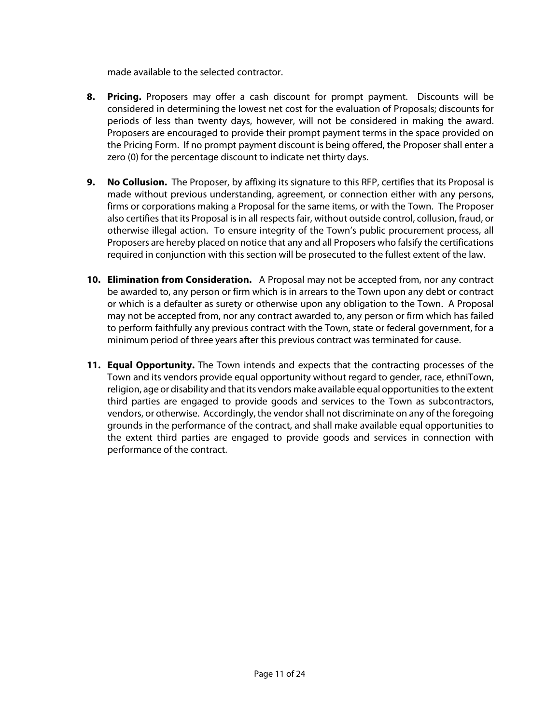made available to the selected contractor.

- **8. Pricing.** Proposers may offer a cash discount for prompt payment. Discounts will be considered in determining the lowest net cost for the evaluation of Proposals; discounts for periods of less than twenty days, however, will not be considered in making the award. Proposers are encouraged to provide their prompt payment terms in the space provided on the Pricing Form. If no prompt payment discount is being offered, the Proposer shall enter a zero (0) for the percentage discount to indicate net thirty days.
- **9. No Collusion.** The Proposer, by affixing its signature to this RFP, certifies that its Proposal is made without previous understanding, agreement, or connection either with any persons, firms or corporations making a Proposal for the same items, or with the Town. The Proposer also certifies that its Proposal is in all respects fair, without outside control, collusion, fraud, or otherwise illegal action. To ensure integrity of the Town's public procurement process, all Proposers are hereby placed on notice that any and all Proposers who falsify the certifications required in conjunction with this section will be prosecuted to the fullest extent of the law.
- **10. Elimination from Consideration.** A Proposal may not be accepted from, nor any contract be awarded to, any person or firm which is in arrears to the Town upon any debt or contract or which is a defaulter as surety or otherwise upon any obligation to the Town.A Proposal may not be accepted from, nor any contract awarded to, any person or firm which has failed to perform faithfully any previous contract with the Town, state or federal government, for a minimum period of three years after this previous contract was terminated for cause.
- **11. Equal Opportunity.** The Town intends and expects that the contracting processes of the Town and its vendors provide equal opportunity without regard to gender, race, ethniTown, religion, age or disability and that its vendors make available equal opportunities to the extent third parties are engaged to provide goods and services to the Town as subcontractors, vendors, or otherwise. Accordingly, the vendor shall not discriminate on any of the foregoing grounds in the performance of the contract, and shall make available equal opportunities to the extent third parties are engaged to provide goods and services in connection with performance of the contract.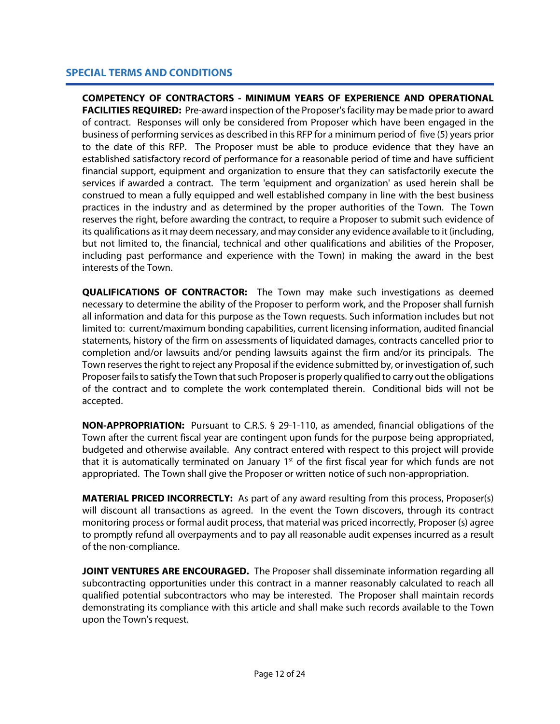# **SPECIAL TERMS AND CONDITIONS**

**COMPETENCY OF CONTRACTORS - MINIMUM YEARS OF EXPERIENCE AND OPERATIONAL FACILITIES REQUIRED:** Pre-award inspection of the Proposer's facility may be made prior to award of contract. Responses will only be considered from Proposer which have been engaged in the business of performing services as described in this RFP for a minimum period of five (5) years prior to the date of this RFP. The Proposer must be able to produce evidence that they have an established satisfactory record of performance for a reasonable period of time and have sufficient financial support, equipment and organization to ensure that they can satisfactorily execute the services if awarded a contract. The term 'equipment and organization' as used herein shall be construed to mean a fully equipped and well established company in line with the best business practices in the industry and as determined by the proper authorities of the Town. The Town reserves the right, before awarding the contract, to require a Proposer to submit such evidence of its qualifications as it may deem necessary, and may consider any evidence available to it (including, but not limited to, the financial, technical and other qualifications and abilities of the Proposer, including past performance and experience with the Town) in making the award in the best interests of the Town.

**QUALIFICATIONS OF CONTRACTOR:** The Town may make such investigations as deemed necessary to determine the ability of the Proposer to perform work, and the Proposer shall furnish all information and data for this purpose as the Town requests. Such information includes but not limited to: current/maximum bonding capabilities, current licensing information, audited financial statements, history of the firm on assessments of liquidated damages, contracts cancelled prior to completion and/or lawsuits and/or pending lawsuits against the firm and/or its principals. The Town reserves the right to reject any Proposal if the evidence submitted by, or investigation of, such Proposerfails to satisfy the Town that such Proposeris properly qualified to carry out the obligations of the contract and to complete the work contemplated therein. Conditional bids will not be accepted.

**NON-APPROPRIATION:** Pursuant to C.R.S. § 29-1-110, as amended, financial obligations of the Town after the current fiscal year are contingent upon funds for the purpose being appropriated, budgeted and otherwise available. Any contract entered with respect to this project will provide that it is automatically terminated on January  $1<sup>st</sup>$  of the first fiscal year for which funds are not appropriated. The Town shall give the Proposer or written notice of such non-appropriation.

**MATERIAL PRICED INCORRECTLY:** As part of any award resulting from this process, Proposer(s) will discount all transactions as agreed. In the event the Town discovers, through its contract monitoring process or formal audit process, that material was priced incorrectly, Proposer (s) agree to promptly refund all overpayments and to pay all reasonable audit expenses incurred as a result of the non-compliance.

**JOINT VENTURES ARE ENCOURAGED.** The Proposer shall disseminate information regarding all subcontracting opportunities under this contract in a manner reasonably calculated to reach all qualified potential subcontractors who may be interested. The Proposer shall maintain records demonstrating its compliance with this article and shall make such records available to the Town upon the Town's request.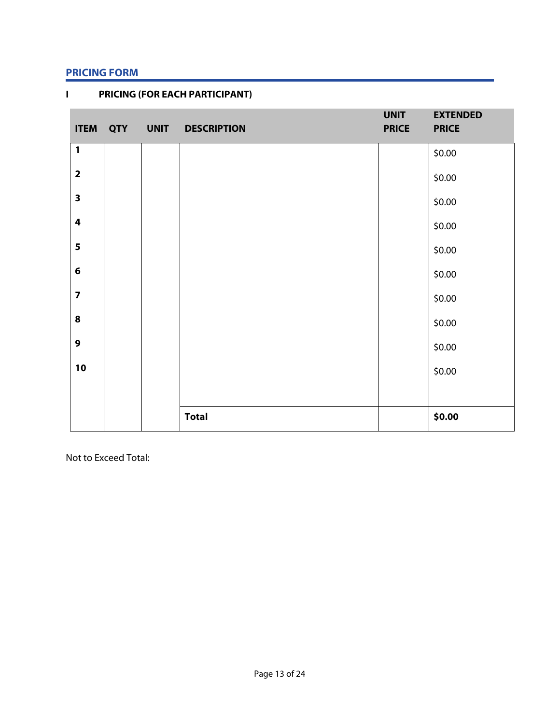# **PRICING FORM**

| <b>ITEM</b>             | QTY | <b>UNIT</b> | <b>DESCRIPTION</b> | <b>UNIT</b><br><b>PRICE</b> | <b>EXTENDED</b><br><b>PRICE</b> |
|-------------------------|-----|-------------|--------------------|-----------------------------|---------------------------------|
| $\mathbf{1}$            |     |             |                    |                             | \$0.00                          |
| $\overline{\mathbf{2}}$ |     |             |                    |                             | \$0.00                          |
| $\mathbf{3}$            |     |             |                    |                             | \$0.00                          |
| $\overline{\mathbf{4}}$ |     |             |                    |                             | \$0.00                          |
| 5                       |     |             |                    |                             | \$0.00                          |
| 6                       |     |             |                    |                             | \$0.00                          |
| $\overline{\mathbf{z}}$ |     |             |                    |                             | \$0.00                          |
| 8                       |     |             |                    |                             | \$0.00                          |
| $\mathbf{9}$            |     |             |                    |                             | \$0.00                          |
| 10                      |     |             |                    |                             | \$0.00                          |
|                         |     |             |                    |                             |                                 |
|                         |     |             | <b>Total</b>       |                             | \$0.00                          |

**I PRICING (FOR EACH PARTICIPANT)**

Not to Exceed Total: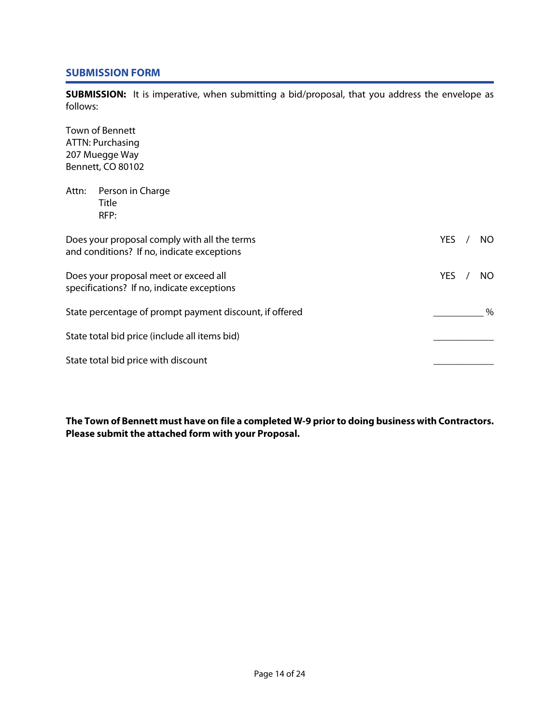### **SUBMISSION FORM**

**SUBMISSION:** It is imperative, when submitting a bid/proposal, that you address the envelope as follows:

Town of Bennett ATTN: Purchasing 207 Muegge Way Bennett, CO 80102 Attn: Person in Charge Title RFP: Does your proposal comply with all the terms New YOU CONSERVENT WAS SERVENT WAS ARRESTED FOR A VIOLET AND MOVE THAT A VIOLET AND THE VIOLET OF THE VIOLET AND THE VIOLET OF THE VIOLET AND THE VIOLET OF THE VIOLET OF THE VIO and conditions? If no, indicate exceptions Does your proposal meet or exceed all No and YES / NO specifications? If no, indicate exceptions State percentage of prompt payment discount, if offered  $\sim$ State total bid price (include all items bid) State total bid price with discount

**The Town of Bennett must have on file a completed W-9 prior to doing business with Contractors. Please submit the attached form with your Proposal.**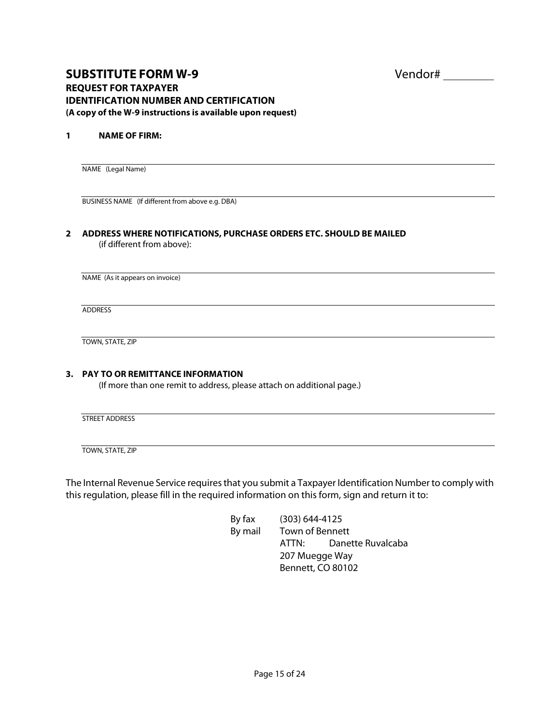# **SUBSTITUTE FORM W-9** Vendor# **REQUEST FOR TAXPAYER IDENTIFICATION NUMBER AND CERTIFICATION (A copy of the W-9 instructions is available upon request)**

#### **1 NAME OF FIRM:**

NAME (Legal Name)

BUSINESS NAME (If different from above e.g. DBA)

#### **2 ADDRESS WHERE NOTIFICATIONS, PURCHASE ORDERS ETC. SHOULD BE MAILED** (if different from above):

NAME (As it appears on invoice)

ADDRESS

TOWN, STATE, ZIP

#### **3. PAY TO OR REMITTANCE INFORMATION**

(If more than one remit to address, please attach on additional page.)

STREET ADDRESS

TOWN, STATE, ZIP

The Internal Revenue Service requires that you submit a Taxpayer Identification Number to comply with this regulation, please fill in the required information on this form, sign and return it to:

> By fax (303) 644-4125 By mail Town of Bennett ATTN: Danette Ruvalcaba 207 Muegge Way Bennett, CO 80102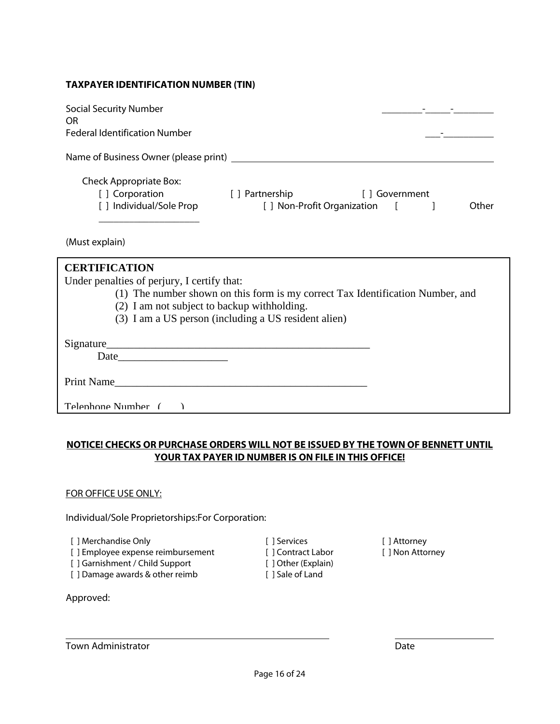#### **TAXPAYER IDENTIFICATION NUMBER (TIN)**

| <b>Social Security Number</b><br>OR<br><b>Federal Identification Number</b> |                             |               |       |
|-----------------------------------------------------------------------------|-----------------------------|---------------|-------|
| Name of Business Owner (please print) ______                                |                             |               |       |
| <b>Check Appropriate Box:</b>                                               |                             |               |       |
| [] Corporation                                                              | [ ] Partnership             | [] Government |       |
| [ ] Individual/Sole Prop                                                    | [ ] Non-Profit Organization | $\mathbf{1}$  | Other |
|                                                                             |                             |               |       |

(Must explain)

| <b>CERTIFICATION</b><br>Under penalties of perjury, I certify that:<br>(1) The number shown on this form is my correct Tax Identification Number, and<br>(2) I am not subject to backup withholding. |
|------------------------------------------------------------------------------------------------------------------------------------------------------------------------------------------------------|
| (3) I am a US person (including a US resident alien)                                                                                                                                                 |
| Signature                                                                                                                                                                                            |
| <b>Print Name</b>                                                                                                                                                                                    |
| Telenhone Number                                                                                                                                                                                     |

# **NOTICE! CHECKS OR PURCHASE ORDERS WILL NOT BE ISSUED BY THE TOWN OF BENNETT UNTIL YOUR TAX PAYER ID NUMBER IS ON FILE IN THIS OFFICE!**

#### FOR OFFICE USE ONLY:

Individual/Sole Proprietorships:For Corporation:

[ ] Merchandise Only [ ] Services [ ] Attorney

- [ ] Employee expense reimbursement [ ] Contract Labor [ ] Non Attorney
- [ ] Garnishment / Child Support [ ] Other (Explain)

[ ] Damage awards & other reimb [ ] Sale of Land

Approved:

Town Administrator **Date Date Date Date Date Date Date Date Date**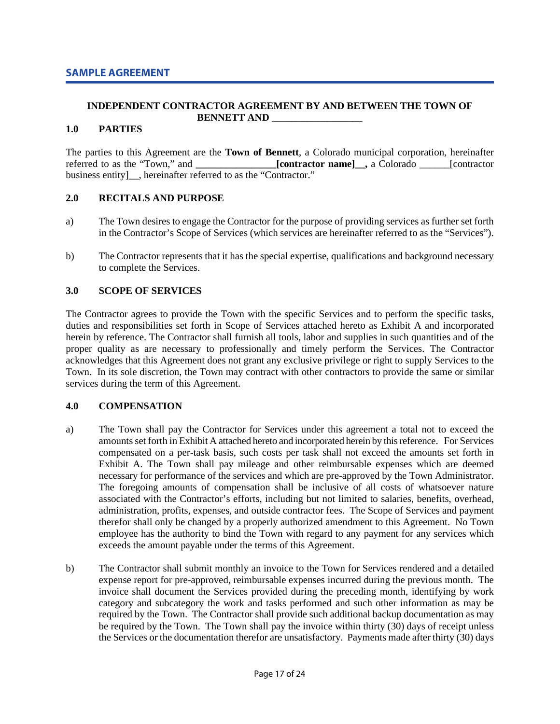#### **INDEPENDENT CONTRACTOR AGREEMENT BY AND BETWEEN THE TOWN OF BENNETT AND \_\_\_\_\_\_\_\_\_\_\_\_\_\_\_\_\_\_**

#### **1.0 PARTIES**

The parties to this Agreement are the **Town of Bennett**, a Colorado municipal corporation, hereinafter referred to as the "Town," and *contractor* name], a Colorado *contractor* and *contractor* and *contractor* an **referred to as the "Town," and "Town," and "Town," a Colorado \_\_\_\_\_\_** [contractor business entity]\_\_, hereinafter referred to as the "Contractor."

#### **2.0 RECITALS AND PURPOSE**

- a) The Town desires to engage the Contractor for the purpose of providing services as further set forth in the Contractor's Scope of Services (which services are hereinafter referred to as the "Services").
- b) The Contractor represents that it has the special expertise, qualifications and background necessary to complete the Services.

#### **3.0 SCOPE OF SERVICES**

The Contractor agrees to provide the Town with the specific Services and to perform the specific tasks, duties and responsibilities set forth in Scope of Services attached hereto as Exhibit A and incorporated herein by reference. The Contractor shall furnish all tools, labor and supplies in such quantities and of the proper quality as are necessary to professionally and timely perform the Services. The Contractor acknowledges that this Agreement does not grant any exclusive privilege or right to supply Services to the Town. In its sole discretion, the Town may contract with other contractors to provide the same or similar services during the term of this Agreement.

#### **4.0 COMPENSATION**

- a) The Town shall pay the Contractor for Services under this agreement a total not to exceed the amounts set forth in Exhibit A attached hereto and incorporated herein by this reference. For Services compensated on a per-task basis, such costs per task shall not exceed the amounts set forth in Exhibit A. The Town shall pay mileage and other reimbursable expenses which are deemed necessary for performance of the services and which are pre-approved by the Town Administrator. The foregoing amounts of compensation shall be inclusive of all costs of whatsoever nature associated with the Contractor's efforts, including but not limited to salaries, benefits, overhead, administration, profits, expenses, and outside contractor fees. The Scope of Services and payment therefor shall only be changed by a properly authorized amendment to this Agreement. No Town employee has the authority to bind the Town with regard to any payment for any services which exceeds the amount payable under the terms of this Agreement.
- b) The Contractor shall submit monthly an invoice to the Town for Services rendered and a detailed expense report for pre-approved, reimbursable expenses incurred during the previous month. The invoice shall document the Services provided during the preceding month, identifying by work category and subcategory the work and tasks performed and such other information as may be required by the Town. The Contractor shall provide such additional backup documentation as may be required by the Town. The Town shall pay the invoice within thirty (30) days of receipt unless the Services or the documentation therefor are unsatisfactory. Payments made after thirty (30) days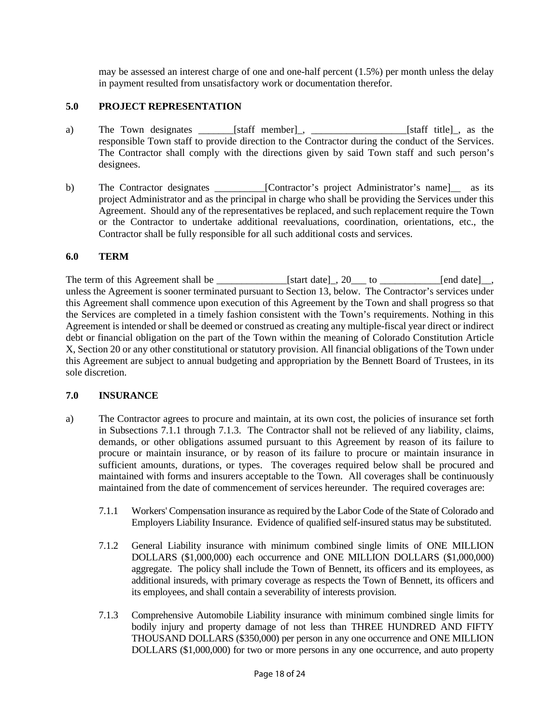may be assessed an interest charge of one and one-half percent (1.5%) per month unless the delay in payment resulted from unsatisfactory work or documentation therefor.

### **5.0 PROJECT REPRESENTATION**

- a) The Town designates \_\_\_\_\_\_\_[staff member]<sub>\_</sub>, \_\_\_\_\_\_\_\_\_\_\_\_\_\_\_\_\_\_\_\_\_\_\_[staff title]\_, as the responsible Town staff to provide direction to the Contractor during the conduct of the Services. The Contractor shall comply with the directions given by said Town staff and such person's designees.
- b) The Contractor designates \_\_\_\_\_\_\_\_\_\_[Contractor's project Administrator's name]\_\_ as its project Administrator and as the principal in charge who shall be providing the Services under this Agreement. Should any of the representatives be replaced, and such replacement require the Town or the Contractor to undertake additional reevaluations, coordination, orientations, etc., the Contractor shall be fully responsible for all such additional costs and services.

#### **6.0 TERM**

The term of this Agreement shall be \_\_\_\_\_\_\_\_\_\_\_\_\_\_\_\_\_[start date]\_, 20\_\_\_ to \_\_\_\_\_\_\_\_\_\_\_\_\_\_\_\_\_[end date]\_\_, unless the Agreement is sooner terminated pursuant to Section 13, below. The Contractor's services under this Agreement shall commence upon execution of this Agreement by the Town and shall progress so that the Services are completed in a timely fashion consistent with the Town's requirements. Nothing in this Agreement is intended or shall be deemed or construed as creating any multiple-fiscal year direct or indirect debt or financial obligation on the part of the Town within the meaning of Colorado Constitution Article X, Section 20 or any other constitutional or statutory provision. All financial obligations of the Town under this Agreement are subject to annual budgeting and appropriation by the Bennett Board of Trustees, in its sole discretion.

#### **7.0 INSURANCE**

- a) The Contractor agrees to procure and maintain, at its own cost, the policies of insurance set forth in Subsections 7.1.1 through 7.1.3. The Contractor shall not be relieved of any liability, claims, demands, or other obligations assumed pursuant to this Agreement by reason of its failure to procure or maintain insurance, or by reason of its failure to procure or maintain insurance in sufficient amounts, durations, or types. The coverages required below shall be procured and maintained with forms and insurers acceptable to the Town. All coverages shall be continuously maintained from the date of commencement of services hereunder. The required coverages are:
	- 7.1.1 Workers' Compensation insurance as required by the Labor Code of the State of Colorado and Employers Liability Insurance. Evidence of qualified self-insured status may be substituted.
	- 7.1.2 General Liability insurance with minimum combined single limits of ONE MILLION DOLLARS (\$1,000,000) each occurrence and ONE MILLION DOLLARS (\$1,000,000) aggregate. The policy shall include the Town of Bennett, its officers and its employees, as additional insureds, with primary coverage as respects the Town of Bennett, its officers and its employees, and shall contain a severability of interests provision.
	- 7.1.3 Comprehensive Automobile Liability insurance with minimum combined single limits for bodily injury and property damage of not less than THREE HUNDRED AND FIFTY THOUSAND DOLLARS (\$350,000) per person in any one occurrence and ONE MILLION DOLLARS (\$1,000,000) for two or more persons in any one occurrence, and auto property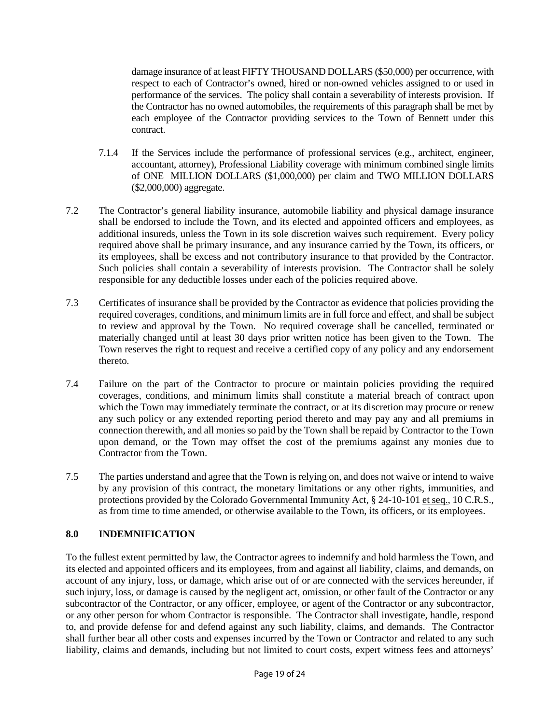damage insurance of at least FIFTY THOUSAND DOLLARS (\$50,000) per occurrence, with respect to each of Contractor's owned, hired or non-owned vehicles assigned to or used in performance of the services. The policy shall contain a severability of interests provision. If the Contractor has no owned automobiles, the requirements of this paragraph shall be met by each employee of the Contractor providing services to the Town of Bennett under this contract.

- 7.1.4 If the Services include the performance of professional services (e.g., architect, engineer, accountant, attorney), Professional Liability coverage with minimum combined single limits of ONE MILLION DOLLARS (\$1,000,000) per claim and TWO MILLION DOLLARS (\$2,000,000) aggregate.
- 7.2 The Contractor's general liability insurance, automobile liability and physical damage insurance shall be endorsed to include the Town, and its elected and appointed officers and employees, as additional insureds, unless the Town in its sole discretion waives such requirement. Every policy required above shall be primary insurance, and any insurance carried by the Town, its officers, or its employees, shall be excess and not contributory insurance to that provided by the Contractor. Such policies shall contain a severability of interests provision. The Contractor shall be solely responsible for any deductible losses under each of the policies required above.
- 7.3 Certificates of insurance shall be provided by the Contractor as evidence that policies providing the required coverages, conditions, and minimum limits are in full force and effect, and shall be subject to review and approval by the Town. No required coverage shall be cancelled, terminated or materially changed until at least 30 days prior written notice has been given to the Town. The Town reserves the right to request and receive a certified copy of any policy and any endorsement thereto.
- 7.4 Failure on the part of the Contractor to procure or maintain policies providing the required coverages, conditions, and minimum limits shall constitute a material breach of contract upon which the Town may immediately terminate the contract, or at its discretion may procure or renew any such policy or any extended reporting period thereto and may pay any and all premiums in connection therewith, and all monies so paid by the Town shall be repaid by Contractor to the Town upon demand, or the Town may offset the cost of the premiums against any monies due to Contractor from the Town.
- 7.5 The parties understand and agree that the Town is relying on, and does not waive or intend to waive by any provision of this contract, the monetary limitations or any other rights, immunities, and protections provided by the Colorado Governmental Immunity Act, § 24-10-101 et seq., 10 C.R.S., as from time to time amended, or otherwise available to the Town, its officers, or its employees.

# **8.0 INDEMNIFICATION**

To the fullest extent permitted by law, the Contractor agrees to indemnify and hold harmless the Town, and its elected and appointed officers and its employees, from and against all liability, claims, and demands, on account of any injury, loss, or damage, which arise out of or are connected with the services hereunder, if such injury, loss, or damage is caused by the negligent act, omission, or other fault of the Contractor or any subcontractor of the Contractor, or any officer, employee, or agent of the Contractor or any subcontractor, or any other person for whom Contractor is responsible. The Contractor shall investigate, handle, respond to, and provide defense for and defend against any such liability, claims, and demands. The Contractor shall further bear all other costs and expenses incurred by the Town or Contractor and related to any such liability, claims and demands, including but not limited to court costs, expert witness fees and attorneys'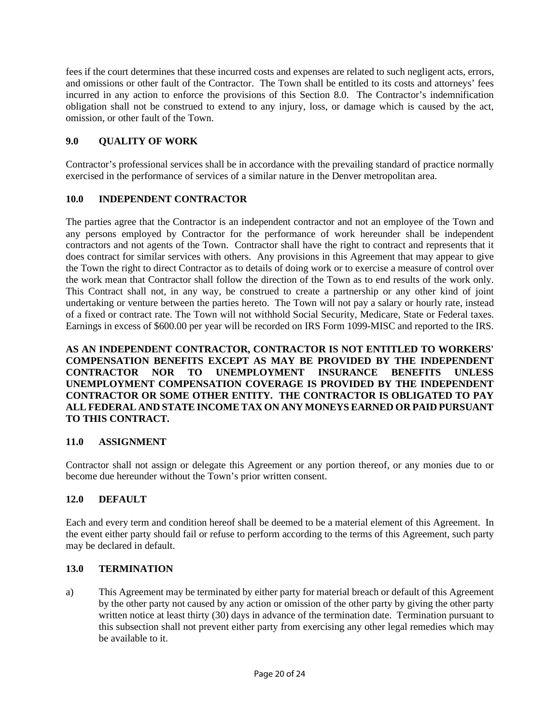fees if the court determines that these incurred costs and expenses are related to such negligent acts, errors, and omissions or other fault of the Contractor. The Town shall be entitled to its costs and attorneys' fees incurred in any action to enforce the provisions of this Section 8.0. The Contractor's indemnification obligation shall not be construed to extend to any injury, loss, or damage which is caused by the act, omission, or other fault of the Town.

# **9.0 QUALITY OF WORK**

Contractor's professional services shall be in accordance with the prevailing standard of practice normally exercised in the performance of services of a similar nature in the Denver metropolitan area.

# **10.0 INDEPENDENT CONTRACTOR**

The parties agree that the Contractor is an independent contractor and not an employee of the Town and any persons employed by Contractor for the performance of work hereunder shall be independent contractors and not agents of the Town. Contractor shall have the right to contract and represents that it does contract for similar services with others. Any provisions in this Agreement that may appear to give the Town the right to direct Contractor as to details of doing work or to exercise a measure of control over the work mean that Contractor shall follow the direction of the Town as to end results of the work only. This Contract shall not, in any way, be construed to create a partnership or any other kind of joint undertaking or venture between the parties hereto. The Town will not pay a salary or hourly rate, instead of a fixed or contract rate. The Town will not withhold Social Security, Medicare, State or Federal taxes. Earnings in excess of \$600.00 per year will be recorded on IRS Form 1099-MISC and reported to the IRS.

**AS AN INDEPENDENT CONTRACTOR, CONTRACTOR IS NOT ENTITLED TO WORKERS' COMPENSATION BENEFITS EXCEPT AS MAY BE PROVIDED BY THE INDEPENDENT CONTRACTOR NOR TO UNEMPLOYMENT INSURANCE BENEFITS UNLESS UNEMPLOYMENT COMPENSATION COVERAGE IS PROVIDED BY THE INDEPENDENT CONTRACTOR OR SOME OTHER ENTITY. THE CONTRACTOR IS OBLIGATED TO PAY ALL FEDERAL AND STATE INCOME TAX ON ANY MONEYS EARNED OR PAID PURSUANT TO THIS CONTRACT.**

# **11.0 ASSIGNMENT**

Contractor shall not assign or delegate this Agreement or any portion thereof, or any monies due to or become due hereunder without the Town's prior written consent.

# **12.0 DEFAULT**

Each and every term and condition hereof shall be deemed to be a material element of this Agreement. In the event either party should fail or refuse to perform according to the terms of this Agreement, such party may be declared in default.

# **13.0 TERMINATION**

a) This Agreement may be terminated by either party for material breach or default of this Agreement by the other party not caused by any action or omission of the other party by giving the other party written notice at least thirty (30) days in advance of the termination date. Termination pursuant to this subsection shall not prevent either party from exercising any other legal remedies which may be available to it.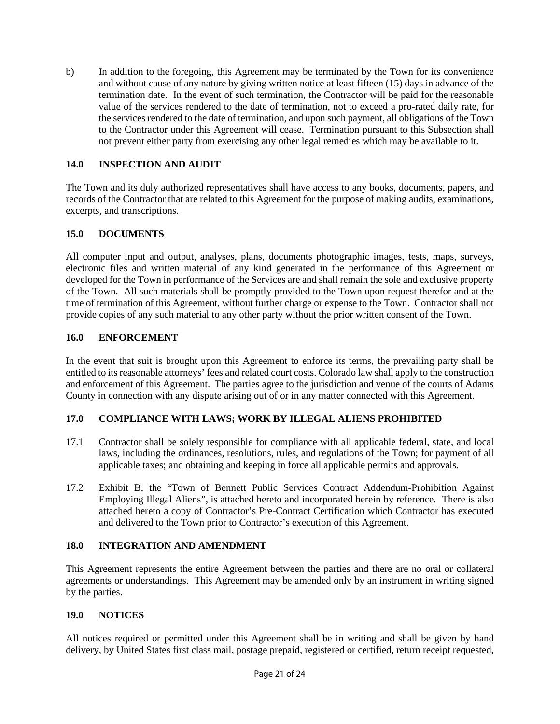b) In addition to the foregoing, this Agreement may be terminated by the Town for its convenience and without cause of any nature by giving written notice at least fifteen (15) days in advance of the termination date. In the event of such termination, the Contractor will be paid for the reasonable value of the services rendered to the date of termination, not to exceed a pro-rated daily rate, for the services rendered to the date of termination, and upon such payment, all obligations of the Town to the Contractor under this Agreement will cease. Termination pursuant to this Subsection shall not prevent either party from exercising any other legal remedies which may be available to it.

# **14.0 INSPECTION AND AUDIT**

The Town and its duly authorized representatives shall have access to any books, documents, papers, and records of the Contractor that are related to this Agreement for the purpose of making audits, examinations, excerpts, and transcriptions.

# **15.0 DOCUMENTS**

All computer input and output, analyses, plans, documents photographic images, tests, maps, surveys, electronic files and written material of any kind generated in the performance of this Agreement or developed for the Town in performance of the Services are and shall remain the sole and exclusive property of the Town. All such materials shall be promptly provided to the Town upon request therefor and at the time of termination of this Agreement, without further charge or expense to the Town. Contractor shall not provide copies of any such material to any other party without the prior written consent of the Town.

# **16.0 ENFORCEMENT**

In the event that suit is brought upon this Agreement to enforce its terms, the prevailing party shall be entitled to its reasonable attorneys' fees and related court costs. Colorado law shall apply to the construction and enforcement of this Agreement. The parties agree to the jurisdiction and venue of the courts of Adams County in connection with any dispute arising out of or in any matter connected with this Agreement.

# **17.0 COMPLIANCE WITH LAWS; WORK BY ILLEGAL ALIENS PROHIBITED**

- 17.1 Contractor shall be solely responsible for compliance with all applicable federal, state, and local laws, including the ordinances, resolutions, rules, and regulations of the Town; for payment of all applicable taxes; and obtaining and keeping in force all applicable permits and approvals.
- 17.2 Exhibit B, the "Town of Bennett Public Services Contract Addendum-Prohibition Against Employing Illegal Aliens", is attached hereto and incorporated herein by reference. There is also attached hereto a copy of Contractor's Pre-Contract Certification which Contractor has executed and delivered to the Town prior to Contractor's execution of this Agreement.

# **18.0 INTEGRATION AND AMENDMENT**

This Agreement represents the entire Agreement between the parties and there are no oral or collateral agreements or understandings. This Agreement may be amended only by an instrument in writing signed by the parties.

#### **19.0 NOTICES**

All notices required or permitted under this Agreement shall be in writing and shall be given by hand delivery, by United States first class mail, postage prepaid, registered or certified, return receipt requested,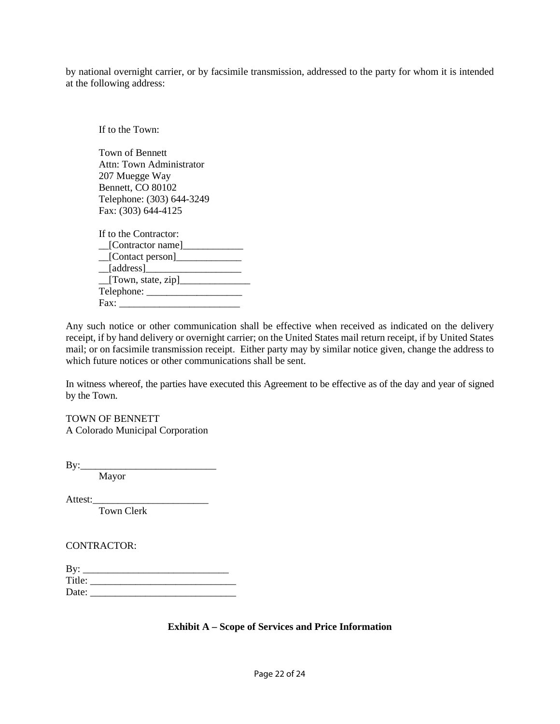by national overnight carrier, or by facsimile transmission, addressed to the party for whom it is intended at the following address:

If to the Town: Town of Bennett Attn: Town Administrator 207 Muegge Way Bennett, CO 80102 Telephone: (303) 644-3249 Fax: (303) 644-4125 If to the Contractor:  $\Box$ [Contractor name] $\Box$  $\Box$  [Contact person]  $\Box$ [address] $\Box$  $T$ [Town, state, zip] Telephone: \_\_\_\_\_\_\_\_\_\_\_\_\_\_\_\_\_\_\_ Fax: \_\_\_\_\_\_\_\_\_\_\_\_\_\_\_\_\_\_\_\_\_\_\_\_

Any such notice or other communication shall be effective when received as indicated on the delivery receipt, if by hand delivery or overnight carrier; on the United States mail return receipt, if by United States mail; or on facsimile transmission receipt. Either party may by similar notice given, change the address to which future notices or other communications shall be sent.

In witness whereof, the parties have executed this Agreement to be effective as of the day and year of signed by the Town.

TOWN OF BENNETT A Colorado Municipal Corporation

 $By:$ 

Mayor

Attest:\_\_\_\_\_\_\_\_\_\_\_\_\_\_\_\_\_\_\_\_\_\_\_

Town Clerk

CONTRACTOR:

| By:    | <u> 1989 - Johann John Stone, Amerikaansk politiker (</u> |  |
|--------|-----------------------------------------------------------|--|
| Title: |                                                           |  |
| Date:  |                                                           |  |

#### **Exhibit A – Scope of Services and Price Information**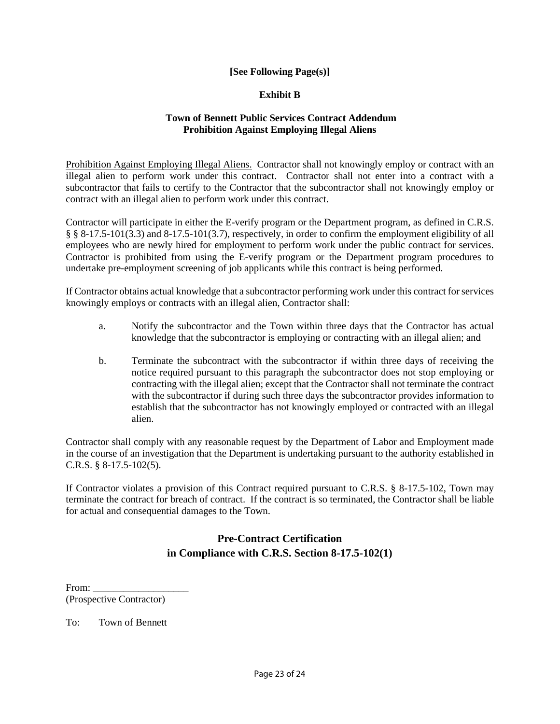# **[See Following Page(s)]**

#### **Exhibit B**

#### **Town of Bennett Public Services Contract Addendum Prohibition Against Employing Illegal Aliens**

Prohibition Against Employing Illegal Aliens. Contractor shall not knowingly employ or contract with an illegal alien to perform work under this contract. Contractor shall not enter into a contract with a subcontractor that fails to certify to the Contractor that the subcontractor shall not knowingly employ or contract with an illegal alien to perform work under this contract.

Contractor will participate in either the E-verify program or the Department program, as defined in C.R.S. § § 8-17.5-101(3.3) and 8-17.5-101(3.7), respectively, in order to confirm the employment eligibility of all employees who are newly hired for employment to perform work under the public contract for services. Contractor is prohibited from using the E-verify program or the Department program procedures to undertake pre-employment screening of job applicants while this contract is being performed.

If Contractor obtains actual knowledge that a subcontractor performing work under this contract for services knowingly employs or contracts with an illegal alien, Contractor shall:

- a. Notify the subcontractor and the Town within three days that the Contractor has actual knowledge that the subcontractor is employing or contracting with an illegal alien; and
- b. Terminate the subcontract with the subcontractor if within three days of receiving the notice required pursuant to this paragraph the subcontractor does not stop employing or contracting with the illegal alien; except that the Contractor shall not terminate the contract with the subcontractor if during such three days the subcontractor provides information to establish that the subcontractor has not knowingly employed or contracted with an illegal alien.

Contractor shall comply with any reasonable request by the Department of Labor and Employment made in the course of an investigation that the Department is undertaking pursuant to the authority established in C.R.S. § 8-17.5-102(5).

If Contractor violates a provision of this Contract required pursuant to C.R.S. § 8-17.5-102, Town may terminate the contract for breach of contract. If the contract is so terminated, the Contractor shall be liable for actual and consequential damages to the Town.

# **Pre-Contract Certification in Compliance with C.R.S. Section 8-17.5-102(1)**

From: (Prospective Contractor)

To: Town of Bennett